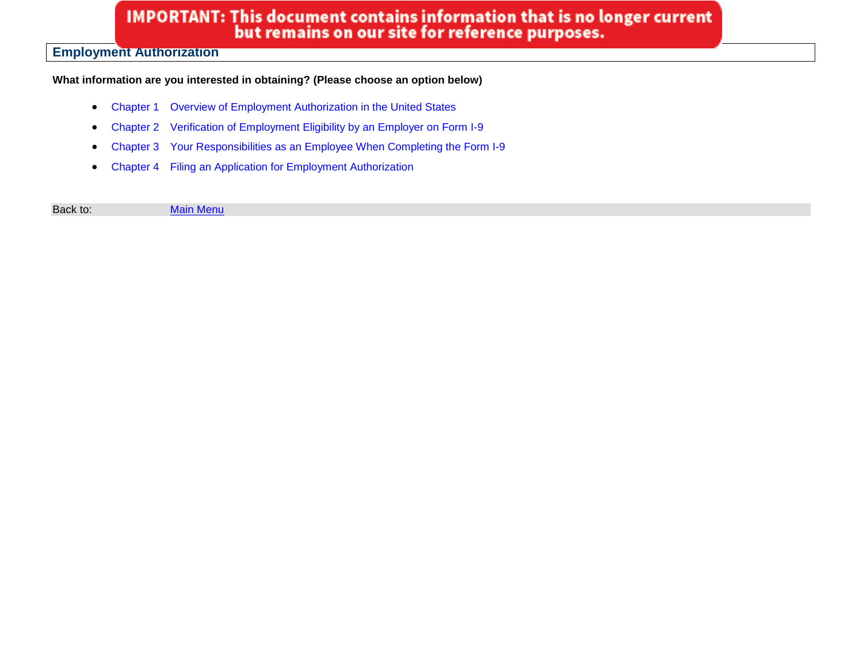# IMPORTANT: This document contains information that is no longer current<br>but remains on our site for reference purposes.

# **Employment Authorization**

### **What information are you interested in obtaining? (Please choose an option below)**

- Chapter 1 [Overview of Employment Authorization in the United States](#page-1-0)
- Chapter 2 [Verification of Employment Eligibility by an Employer on Form I-9](#page-2-0)
- Chapter 3 [Your Responsibilities as an Employee When Completing the Form I-9](#page-3-0)
- Chapter 4 [Filing an Application for Employment Authorization](#page-10-0)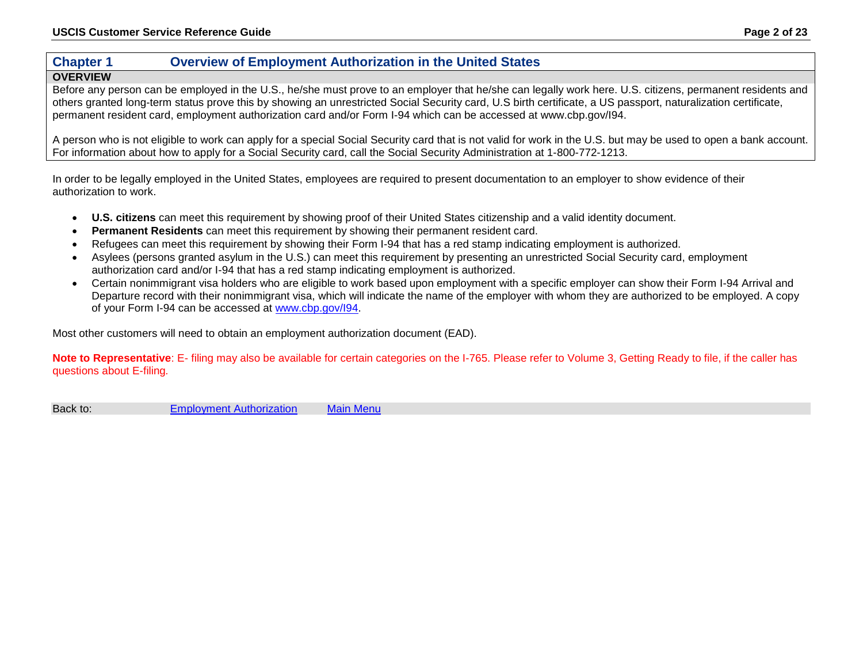## <span id="page-1-0"></span>**Chapter 1 Overview of Employment Authorization in the United States**

### **OVERVIEW**

Before any person can be employed in the U.S., he/she must prove to an employer that he/she can legally work here. U.S. citizens, permanent residents and others granted long-term status prove this by showing an unrestricted Social Security card, U.S birth certificate, a US passport, naturalization certificate, permanent resident card, employment authorization card and/or Form I-94 which can be accessed at www.cbp.gov/I94.

A person who is not eligible to work can apply for a special Social Security card that is not valid for work in the U.S. but may be used to open a bank account. For information about how to apply for a Social Security card, call the Social Security Administration at 1-800-772-1213.

In order to be legally employed in the United States, employees are required to present documentation to an employer to show evidence of their authorization to work.

- **U.S. citizens** can meet this requirement by showing proof of their United States citizenship and a valid identity document.
- **Permanent Residents** can meet this requirement by showing their permanent resident card.
- Refugees can meet this requirement by showing their Form I-94 that has a red stamp indicating employment is authorized.
- Asylees (persons granted asylum in the U.S.) can meet this requirement by presenting an unrestricted Social Security card, employment authorization card and/or I-94 that has a red stamp indicating employment is authorized.
- Certain nonimmigrant visa holders who are eligible to work based upon employment with a specific employer can show their Form I-94 Arrival and Departure record with their nonimmigrant visa, which will indicate the name of the employer with whom they are authorized to be employed. A copy of your Form I-94 can be accessed at [www.cbp.gov/I94.](http://www.cbp.gov/I94)

Most other customers will need to obtain an employment authorization document (EAD).

**Note to Representative**: E- filing may also be available for certain categories on the I-765. Please refer to Volume 3, Getting Ready to file, if the caller has questions about E-filing*.*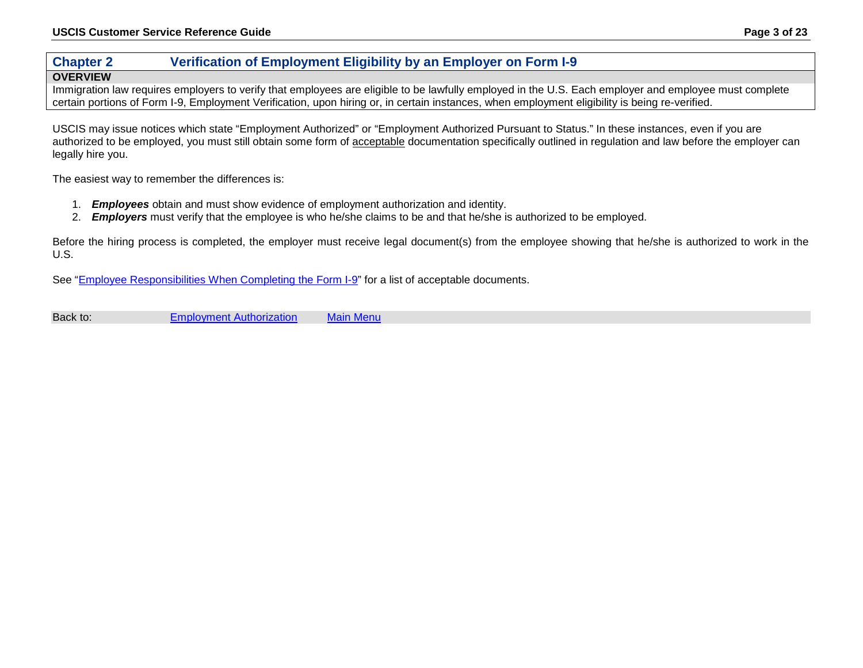# <span id="page-2-0"></span>**Chapter 2 Verification of Employment Eligibility by an Employer on Form I-9**

#### **OVERVIEW**

Immigration law requires employers to verify that employees are eligible to be lawfully employed in the U.S. Each employer and employee must complete certain portions of Form I-9, Employment Verification, upon hiring or, in certain instances, when employment eligibility is being re-verified.

USCIS may issue notices which state "Employment Authorized" or "Employment Authorized Pursuant to Status." In these instances, even if you are authorized to be employed, you must still obtain some form of acceptable documentation specifically outlined in regulation and law before the employer can legally hire you.

The easiest way to remember the differences is:

- 1. *Employees* obtain and must show evidence of employment authorization and identity.
- 2. *Employers* must verify that the employee is who he/she claims to be and that he/she is authorized to be employed.

Before the hiring process is completed, the employer must receive legal document(s) from the employee showing that he/she is authorized to work in the U.S.

See ["Employee Responsibilities When Completing the Form I-9"](#page-3-0) for a list of acceptable documents.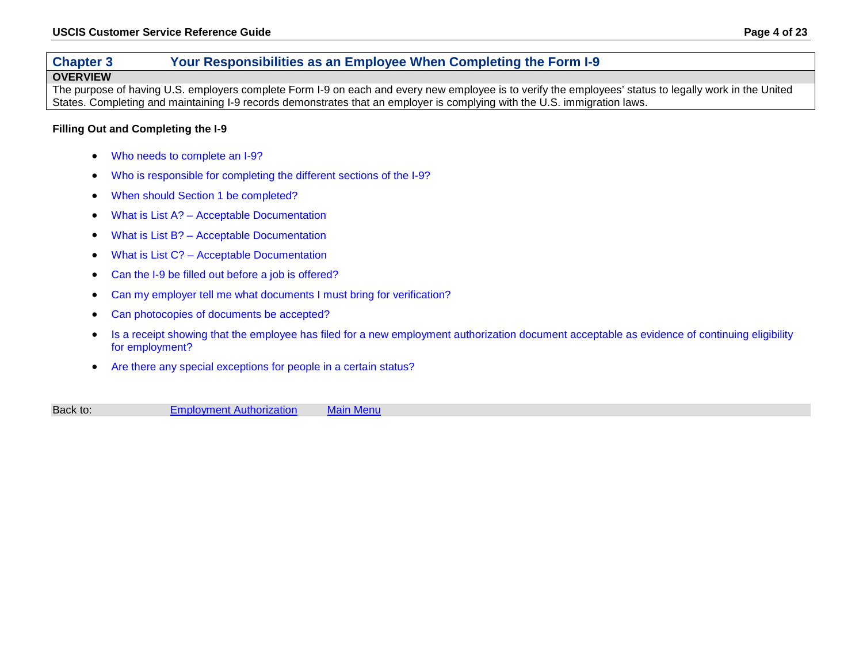# <span id="page-3-0"></span>**Chapter 3 Your Responsibilities as an Employee When Completing the Form I-9**

#### **OVERVIEW**

The purpose of having U.S. employers complete Form I-9 on each and every new employee is to verify the employees' status to legally work in the United States. Completing and maintaining I-9 records demonstrates that an employer is complying with the U.S. immigration laws.

#### **Filling Out and Completing the I-9**

- [Who needs to complete an I-9?](#page-4-0)
- [Who is responsible for completing the different sections of the I-9?](#page-4-1)
- [When should Section 1 be completed?](#page-4-2)
- What is List A? [Acceptable Documentation](#page-5-0)
- What is List B? [Acceptable Documentation](#page-6-0)
- What is List C? [Acceptable Documentation](#page-7-0)
- [Can the I-9 be filled out before a job is offered?](#page-8-0)
- [Can my employer tell me what documents I must bring for verification?](#page-8-1)
- [Can photocopies of documents be accepted?](#page-8-2)
- [Is a receipt showing that the employee has filed for a new employment authorization document acceptable as evidence of continuing eligibility](#page-8-3)  [for employment?](#page-8-3)
- [Are there any special exceptions for people in a certain](#page-9-0) status?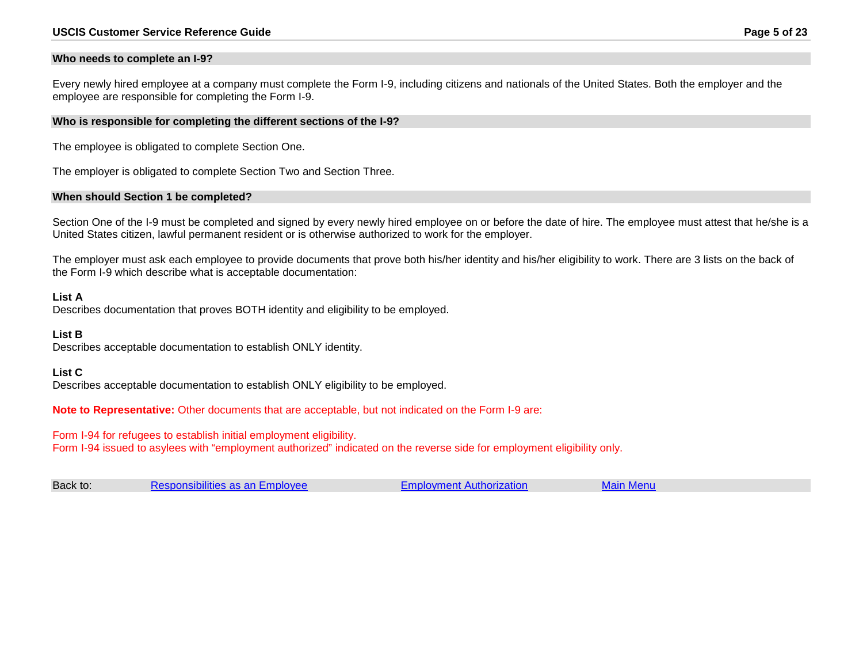#### <span id="page-4-0"></span>**Who needs to complete an I-9?**

Every newly hired employee at a company must complete the Form I-9, including citizens and nationals of the United States. Both the employer and the employee are responsible for completing the Form I-9.

#### <span id="page-4-1"></span>**Who is responsible for completing the different sections of the I-9?**

The employee is obligated to complete Section One.

The employer is obligated to complete Section Two and Section Three.

#### <span id="page-4-2"></span>**When should Section 1 be completed?**

Section One of the I-9 must be completed and signed by every newly hired employee on or before the date of hire. The employee must attest that he/she is a United States citizen, lawful permanent resident or is otherwise authorized to work for the employer.

The employer must ask each employee to provide documents that prove both his/her identity and his/her eligibility to work. There are 3 lists on the back of the Form I-9 which describe what is acceptable documentation:

#### **List A**

Describes documentation that proves BOTH identity and eligibility to be employed.

#### **List B**

Describes acceptable documentation to establish ONLY identity.

#### **List C**

Describes acceptable documentation to establish ONLY eligibility to be employed.

**Note to Representative:** Other documents that are acceptable, but not indicated on the Form I-9 are:

Form I-94 for refugees to establish initial employment eligibility.

Form I-94 issued to asylees with "employment authorized" indicated on the reverse side for employment eligibility only.

| Back to: | Responsibilities as an Employee | <b>Employment Authorization</b> | <b>Main Menu</b> |
|----------|---------------------------------|---------------------------------|------------------|
|----------|---------------------------------|---------------------------------|------------------|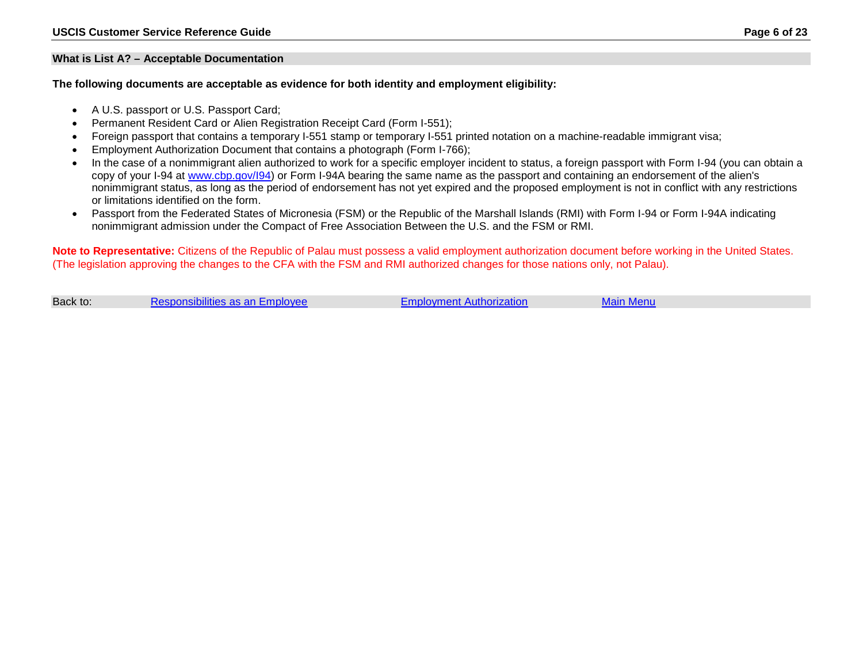#### <span id="page-5-0"></span>**What is List A? – Acceptable Documentation**

**The following documents are acceptable as evidence for both identity and employment eligibility:**

- A U.S. passport or U.S. Passport Card;
- Permanent Resident Card or Alien Registration Receipt Card (Form I-551);
- Foreign passport that contains a temporary I-551 stamp or temporary I-551 printed notation on a machine-readable immigrant visa;
- Employment Authorization Document that contains a photograph (Form I-766);
- In the case of a nonimmigrant alien authorized to work for a specific employer incident to status, a foreign passport with Form I-94 (you can obtain a copy of your I-94 at [www.cbp.gov/I94\)](http://www.cbp.gov/I94) or Form I-94A bearing the same name as the passport and containing an endorsement of the alien's nonimmigrant status, as long as the period of endorsement has not yet expired and the proposed employment is not in conflict with any restrictions or limitations identified on the form.
- Passport from the Federated States of Micronesia (FSM) or the Republic of the Marshall Islands (RMI) with Form I-94 or Form I-94A indicating nonimmigrant admission under the Compact of Free Association Between the U.S. and the FSM or RMI.

**Note to Representative:** Citizens of the Republic of Palau must possess a valid employment authorization document before working in the United States. (The legislation approving the changes to the CFA with the FSM and RMI authorized changes for those nations only, not Palau).

| Back to: | Responsibilities as an Employee | <b>Employment Authorization</b> | Main Menu |  |
|----------|---------------------------------|---------------------------------|-----------|--|
|----------|---------------------------------|---------------------------------|-----------|--|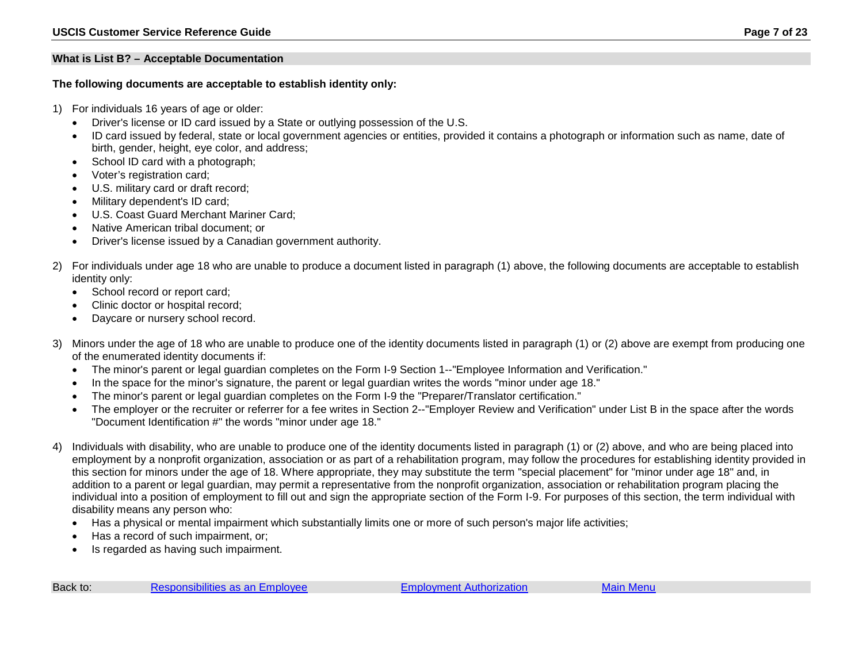#### <span id="page-6-0"></span>**What is List B? – Acceptable Documentation**

#### **The following documents are acceptable to establish identity only:**

- 1) For individuals 16 years of age or older:
	- Driver's license or ID card issued by a State or outlying possession of the U.S.
	- ID card issued by federal, state or local government agencies or entities, provided it contains a photograph or information such as name, date of birth, gender, height, eye color, and address;
	- School ID card with a photograph;
	- Voter's registration card;
	- U.S. military card or draft record;
	- Military dependent's ID card;
	- U.S. Coast Guard Merchant Mariner Card;
	- Native American tribal document; or
	- Driver's license issued by a Canadian government authority.
- 2) For individuals under age 18 who are unable to produce a document listed in paragraph (1) above, the following documents are acceptable to establish identity only:
	- School record or report card;
	- Clinic doctor or hospital record;
	- Daycare or nursery school record.
- 3) Minors under the age of 18 who are unable to produce one of the identity documents listed in paragraph (1) or (2) above are exempt from producing one of the enumerated identity documents if:
	- The minor's parent or legal guardian completes on the Form I-9 Section 1--"Employee Information and Verification."
	- In the space for the minor's signature, the parent or legal guardian writes the words "minor under age 18."
	- The minor's parent or legal guardian completes on the Form I-9 the "Preparer/Translator certification."
	- The employer or the recruiter or referrer for a fee writes in Section 2--"Employer Review and Verification" under List B in the space after the words "Document Identification #" the words "minor under age 18."
- 4) Individuals with disability, who are unable to produce one of the identity documents listed in paragraph (1) or (2) above, and who are being placed into employment by a nonprofit organization, association or as part of a rehabilitation program, may follow the procedures for establishing identity provided in this section for minors under the age of 18. Where appropriate, they may substitute the term "special placement" for "minor under age 18" and, in addition to a parent or legal guardian, may permit a representative from the nonprofit organization, association or rehabilitation program placing the individual into a position of employment to fill out and sign the appropriate section of the Form I-9. For purposes of this section, the term individual with disability means any person who:
	- Has a physical or mental impairment which substantially limits one or more of such person's major life activities;
	- Has a record of such impairment, or;
	- Is regarded as having such impairment.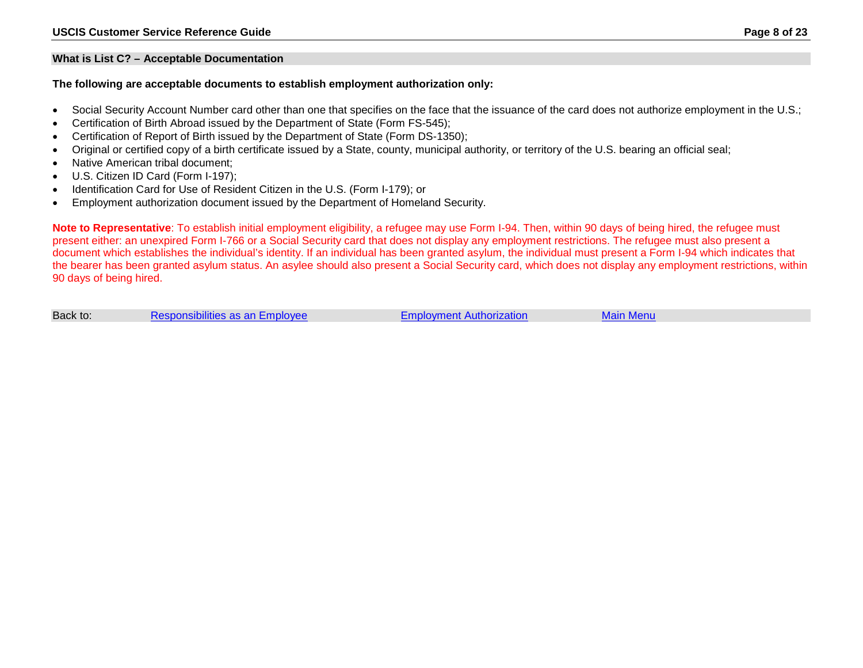#### <span id="page-7-0"></span>**What is List C? – Acceptable Documentation**

#### **The following are acceptable documents to establish employment authorization only:**

- Social Security Account Number card other than one that specifies on the face that the issuance of the card does not authorize employment in the U.S.;
- Certification of Birth Abroad issued by the Department of State (Form FS-545);
- Certification of Report of Birth issued by the Department of State (Form DS-1350);
- Original or certified copy of a birth certificate issued by a State, county, municipal authority, or territory of the U.S. bearing an official seal;
- Native American tribal document:
- U.S. Citizen ID Card (Form I-197);
- Identification Card for Use of Resident Citizen in the U.S. (Form I-179); or
- Employment authorization document issued by the Department of Homeland Security.

**Note to Representative**: To establish initial employment eligibility, a refugee may use Form I-94. Then, within 90 days of being hired, the refugee must present either: an unexpired Form I-766 or a Social Security card that does not display any employment restrictions. The refugee must also present a document which establishes the individual's identity. If an individual has been granted asylum, the individual must present a Form I-94 which indicates that the bearer has been granted asylum status. An asylee should also present a Social Security card, which does not display any employment restrictions, within 90 days of being hired.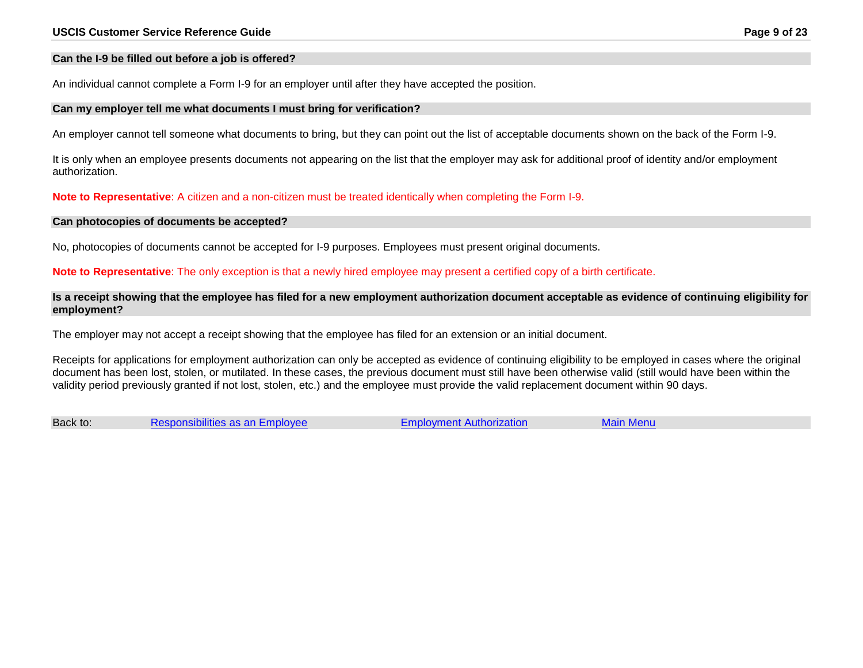#### <span id="page-8-0"></span>**Can the I-9 be filled out before a job is offered?**

An individual cannot complete a Form I-9 for an employer until after they have accepted the position.

#### <span id="page-8-1"></span>**Can my employer tell me what documents I must bring for verification?**

An employer cannot tell someone what documents to bring, but they can point out the list of acceptable documents shown on the back of the Form I-9.

It is only when an employee presents documents not appearing on the list that the employer may ask for additional proof of identity and/or employment authorization.

**Note to Representative**: A citizen and a non-citizen must be treated identically when completing the Form I-9.

#### <span id="page-8-2"></span>**Can photocopies of documents be accepted?**

No, photocopies of documents cannot be accepted for I-9 purposes. Employees must present original documents.

**Note to Representative**: The only exception is that a newly hired employee may present a certified copy of a birth certificate.

<span id="page-8-3"></span>**Is a receipt showing that the employee has filed for a new employment authorization document acceptable as evidence of continuing eligibility for employment?** 

The employer may not accept a receipt showing that the employee has filed for an extension or an initial document.

Receipts for applications for employment authorization can only be accepted as evidence of continuing eligibility to be employed in cases where the original document has been lost, stolen, or mutilated. In these cases, the previous document must still have been otherwise valid (still would have been within the validity period previously granted if not lost, stolen, etc.) and the employee must provide the valid replacement document within 90 days.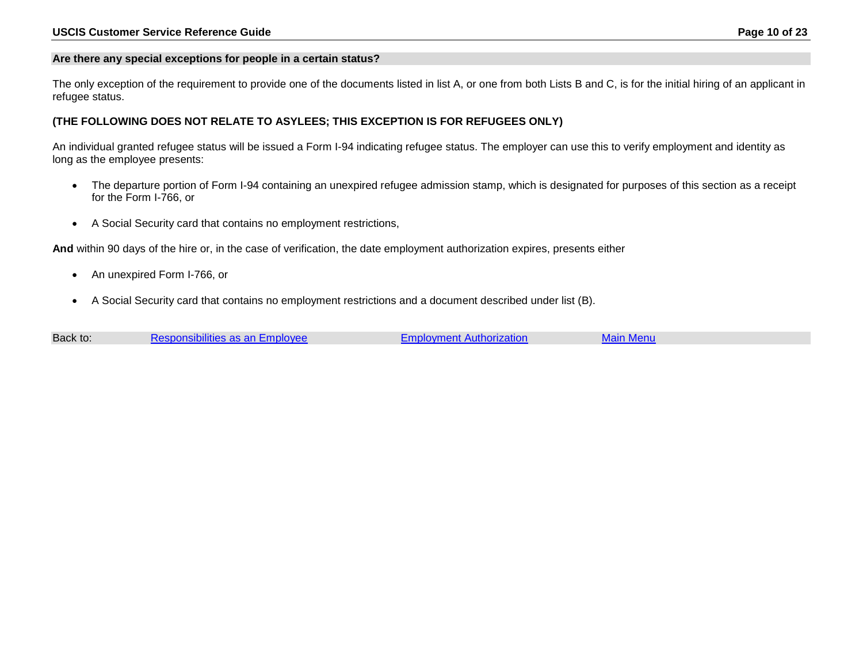#### <span id="page-9-0"></span>**Are there any special exceptions for people in a certain status?**

The only exception of the requirement to provide one of the documents listed in list A, or one from both Lists B and C, is for the initial hiring of an applicant in refugee status.

#### **(THE FOLLOWING DOES NOT RELATE TO ASYLEES; THIS EXCEPTION IS FOR REFUGEES ONLY)**

An individual granted refugee status will be issued a Form I-94 indicating refugee status. The employer can use this to verify employment and identity as long as the employee presents:

- The departure portion of Form I-94 containing an unexpired refugee admission stamp, which is designated for purposes of this section as a receipt for the Form I-766, or
- A Social Security card that contains no employment restrictions,

**And** within 90 days of the hire or, in the case of verification, the date employment authorization expires, presents either

- An unexpired Form I-766, or
- A Social Security card that contains no employment restrictions and a document described under list (B).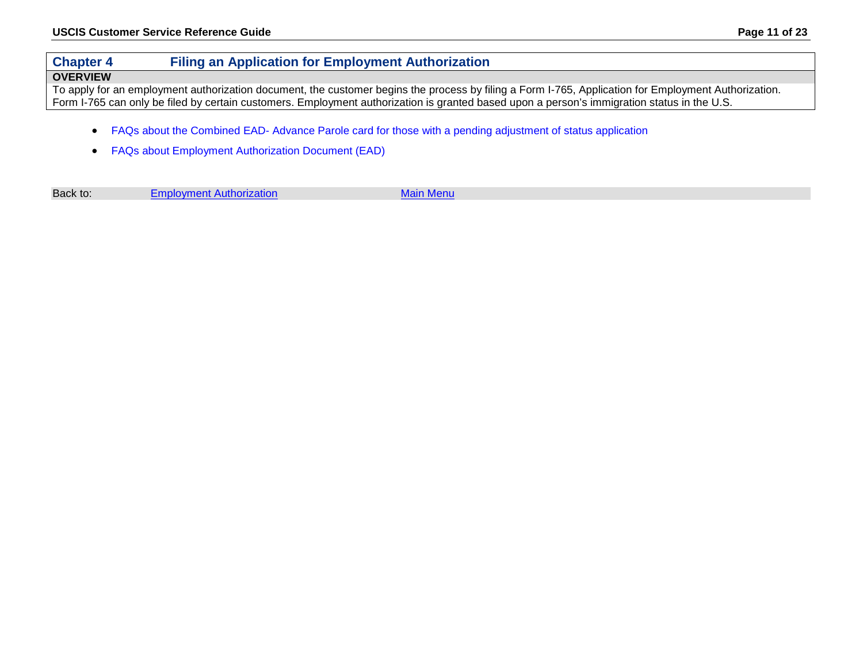# <span id="page-10-0"></span>**Chapter 4 Filing an Application for Employment Authorization**

#### **OVERVIEW**

To apply for an employment authorization document, the customer begins the process by filing a Form I-765, Application for Employment Authorization. Form I-765 can only be filed by certain customers. Employment authorization is granted based upon a person's immigration status in the U.S.

- FAQs about the Combined EAD- [Advance Parole card for those with a pending adjustment of status application](#page-11-0)
- [FAQs about Employment Authorization Document \(EAD\)](#page-14-0)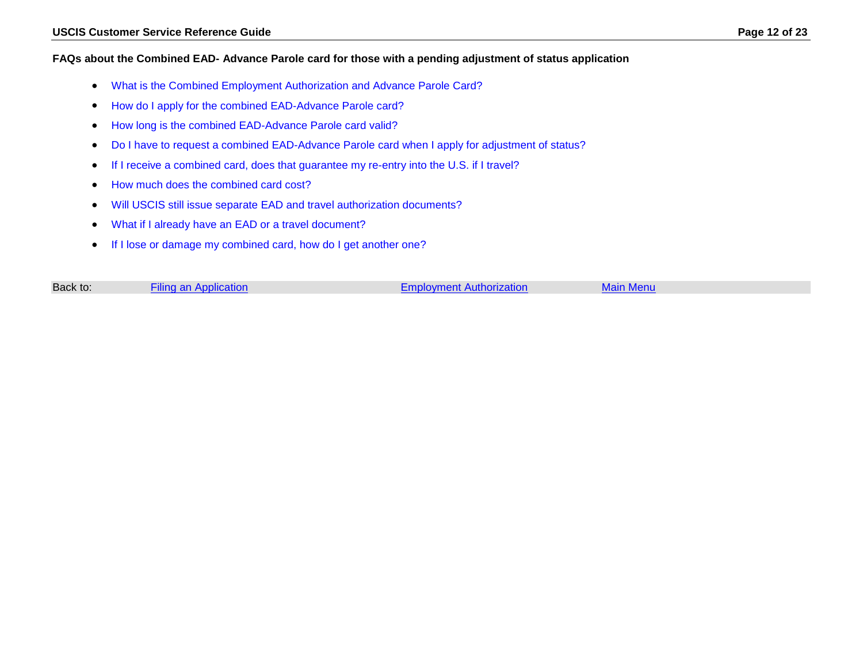#### <span id="page-11-0"></span>**FAQs about the Combined EAD- Advance Parole card for those with a pending adjustment of status application**

- [What is the Combined Employment Authorization and Advance Parole Card?](#page-12-0)
- [How do I apply for the combined EAD-Advance Parole card?](#page-12-1)
- [How long is the combined EAD-Advance Parole card valid?](#page-12-2)
- [Do I have to request a combined EAD-Advance Parole card when I apply for adjustment of status?](#page-12-3)
- [If I receive a combined card, does that guarantee my re-entry into the U.S. if I travel?](#page-13-0)
- [How much does the combined card cost?](#page-13-1)
- [Will USCIS still issue separate EAD and travel authorization documents?](#page-13-2)
- [What if I already have an EAD or a travel document?](#page-13-3)
- [If I lose or damage my combined card, how do I get another one?](#page-13-4)

| Back to:<br><b>Filing an Application</b><br><b>Main Menu</b><br>Emplovment Authorization |  |
|------------------------------------------------------------------------------------------|--|
|------------------------------------------------------------------------------------------|--|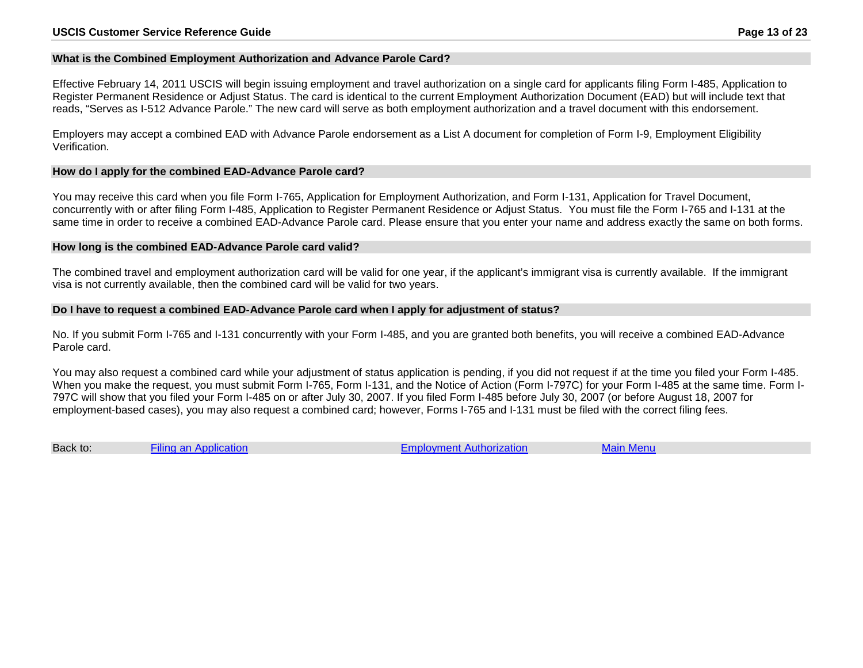#### <span id="page-12-0"></span>**What is the Combined Employment Authorization and Advance Parole Card?**

Effective February 14, 2011 USCIS will begin issuing employment and travel authorization on a single card for applicants filing Form I-485, Application to Register Permanent Residence or Adjust Status. The card is identical to the current Employment Authorization Document (EAD) but will include text that reads, "Serves as I-512 Advance Parole." The new card will serve as both employment authorization and a travel document with this endorsement.

Employers may accept a combined EAD with Advance Parole endorsement as a List A document for completion of Form I-9, Employment Eligibility Verification.

#### <span id="page-12-1"></span>**How do I apply for the combined EAD-Advance Parole card?**

You may receive this card when you file Form I-765, Application for Employment Authorization, and Form I-131, Application for Travel Document, concurrently with or after filing Form I-485, Application to Register Permanent Residence or Adjust Status. You must file the Form I-765 and I-131 at the same time in order to receive a combined EAD-Advance Parole card. Please ensure that you enter your name and address exactly the same on both forms.

#### <span id="page-12-2"></span>**How long is the combined EAD-Advance Parole card valid?**

The combined travel and employment authorization card will be valid for one year, if the applicant's immigrant visa is currently available. If the immigrant visa is not currently available, then the combined card will be valid for two years.

#### <span id="page-12-3"></span>**Do I have to request a combined EAD-Advance Parole card when I apply for adjustment of status?**

No. If you submit Form I-765 and I-131 concurrently with your Form I-485, and you are granted both benefits, you will receive a combined EAD-Advance Parole card.

You may also request a combined card while your adjustment of status application is pending, if you did not request if at the time you filed your Form I-485. When you make the request, you must submit Form I-765, Form I-131, and the Notice of Action (Form I-797C) for your Form I-485 at the same time. Form I-797C will show that you filed your Form I-485 on or after July 30, 2007. If you filed Form I-485 before July 30, 2007 (or before August 18, 2007 for employment-based cases), you may also request a combined card; however, Forms I-765 and I-131 must be filed with the correct filing fees.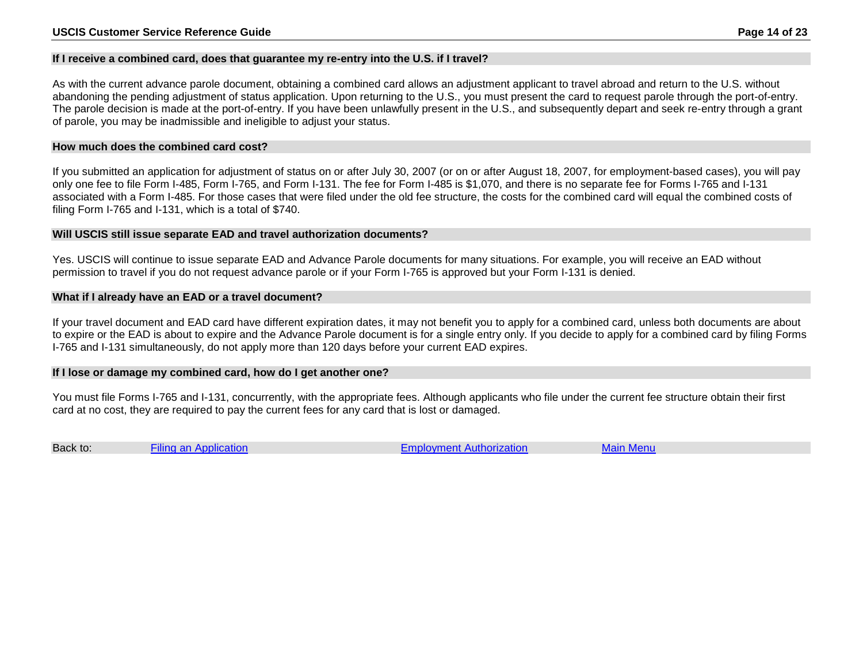#### <span id="page-13-0"></span>**If I receive a combined card, does that guarantee my re-entry into the U.S. if I travel?**

As with the current advance parole document, obtaining a combined card allows an adjustment applicant to travel abroad and return to the U.S. without abandoning the pending adjustment of status application. Upon returning to the U.S., you must present the card to request parole through the port-of-entry. The parole decision is made at the port-of-entry. If you have been unlawfully present in the U.S., and subsequently depart and seek re-entry through a grant of parole, you may be inadmissible and ineligible to adjust your status.

#### <span id="page-13-1"></span>**How much does the combined card cost?**

If you submitted an application for adjustment of status on or after July 30, 2007 (or on or after August 18, 2007, for employment-based cases), you will pay only one fee to file Form I-485, Form I-765, and Form I-131. The fee for Form I-485 is \$1,070, and there is no separate fee for Forms I-765 and I-131 associated with a Form I-485. For those cases that were filed under the old fee structure, the costs for the combined card will equal the combined costs of filing Form I-765 and I-131, which is a total of \$740.

#### <span id="page-13-2"></span>**Will USCIS still issue separate EAD and travel authorization documents?**

Yes. USCIS will continue to issue separate EAD and Advance Parole documents for many situations. For example, you will receive an EAD without permission to travel if you do not request advance parole or if your Form I-765 is approved but your Form I-131 is denied.

#### <span id="page-13-3"></span>**What if I already have an EAD or a travel document?**

If your travel document and EAD card have different expiration dates, it may not benefit you to apply for a combined card, unless both documents are about to expire or the EAD is about to expire and the Advance Parole document is for a single entry only. If you decide to apply for a combined card by filing Forms I-765 and I-131 simultaneously, do not apply more than 120 days before your current EAD expires.

#### <span id="page-13-4"></span>**If I lose or damage my combined card, how do I get another one?**

You must file Forms I-765 and I-131, concurrently, with the appropriate fees. Although applicants who file under the current fee structure obtain their first card at no cost, they are required to pay the current fees for any card that is lost or damaged.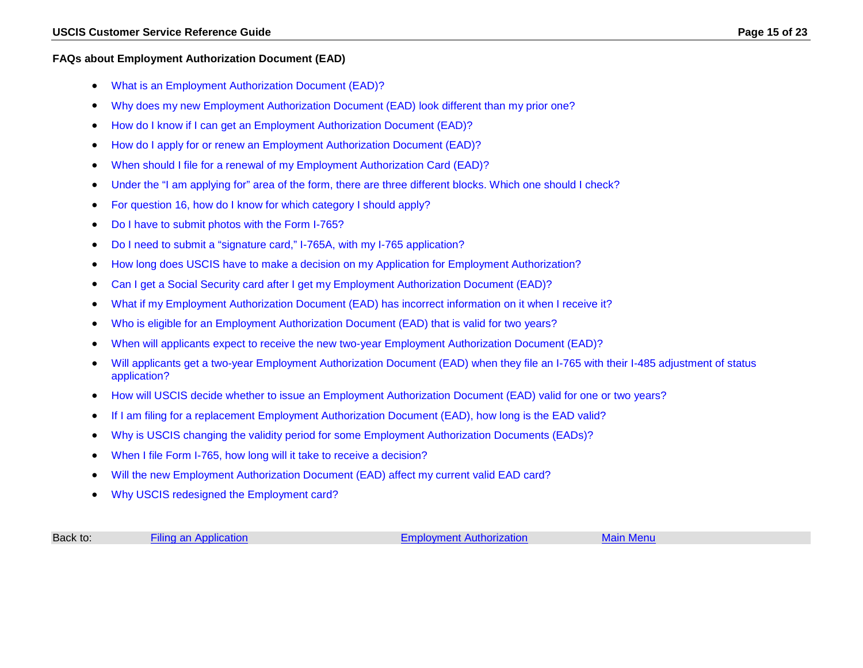#### <span id="page-14-0"></span>**FAQs about Employment Authorization Document (EAD)**

- [What is an Employment Authorization Document \(EAD\)?](#page-15-0)
- [Why does my new Employment Authorization Document \(EAD\) look different than my prior one?](#page-15-1)
- [How do I know if I can get an Employment Authorization Document \(EAD\)?](#page-15-2)
- [How do I apply for or renew an Employment Authorization Document \(EAD\)?](#page-15-3)
- [When should I file for a renewal of my Employment Authorization Card \(EAD\)?](#page-16-0)
- [Under the "I am applying for" area of the form, there are three different blocks. Which one should I check?](#page-16-1)
- [For question 16, how do I know for which category I should apply?](#page-17-0)
- [Do I have to submit photos with the Form I-765?](#page-17-1)
- [Do I need to submit a "signature card," I-765A, with my I-765 application?](#page-18-0)
- [How long does USCIS have to make a decision on my Application for Employment Authorization?](#page-18-1)
- [Can I get a Social Security card after I get my Employment Authorization Document \(EAD\)?](#page-19-0)
- [What if my Employment Authorization Document \(EAD\) has incorrect information on it when I receive it?](#page-19-1)
- [Who is eligible for an Employment Authorization Document \(EAD\) that is valid for two years?](#page-19-2)
- [When will applicants expect to receive the new two-year Employment Authorization Document \(EAD\)?](#page-19-3)
- [Will applicants get a two-year Employment Authorization Document \(EAD\) when they file an I-765 with their I-485 adjustment of status](#page-20-0)  [application?](#page-20-0)
- [How will USCIS decide whether to issue an Employment Authorization Document \(EAD\) valid for one or two years?](#page-20-1)
- [If I am filing for a replacement Employment Authorization Document \(EAD\), how long is the EAD valid?](#page-20-2)
- [Why is USCIS changing the validity period for some Employment Authorization Documents \(EADs\)?](#page-20-3)
- [When I file Form I-765, how long will it take to receive a decision?](#page-20-4)
- [Will the new Employment Authorization Document \(EAD\) affect my current valid EAD card?](#page-20-5)
- [Why USCIS redesigned the Employment card?](#page-21-0)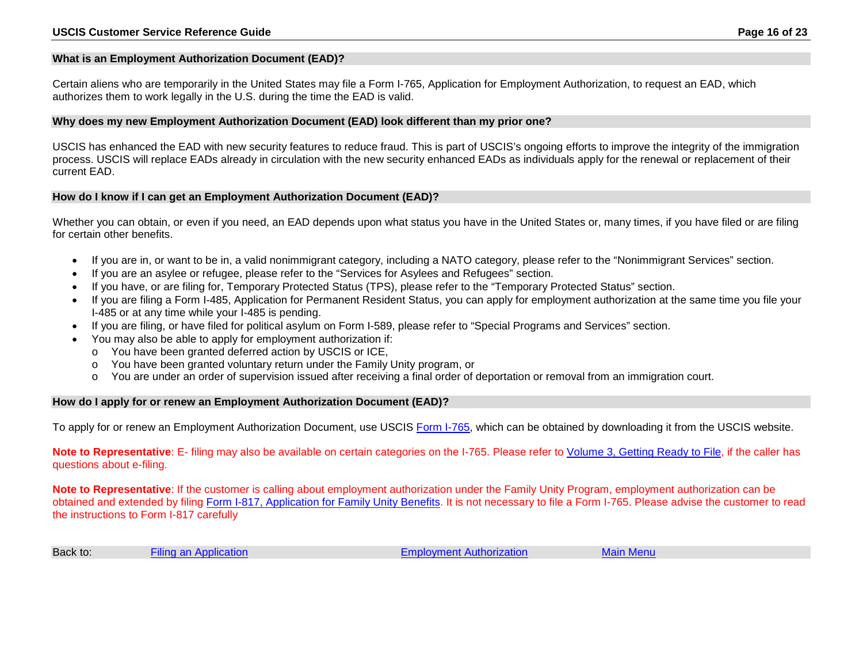#### <span id="page-15-0"></span>**What is an Employment Authorization Document (EAD)?**

Certain aliens who are temporarily in the United States may file a Form I-765, Application for Employment Authorization, to request an EAD, which authorizes them to work legally in the U.S. during the time the EAD is valid.

#### <span id="page-15-1"></span>**Why does my new Employment Authorization Document (EAD) look different than my prior one?**

USCIS has enhanced the EAD with new security features to reduce fraud. This is part of USCIS's ongoing efforts to improve the integrity of the immigration process. USCIS will replace EADs already in circulation with the new security enhanced EADs as individuals apply for the renewal or replacement of their current EAD.

#### <span id="page-15-2"></span>**How do I know if I can get an Employment Authorization Document (EAD)?**

Whether you can obtain, or even if you need, an EAD depends upon what status you have in the United States or, many times, if you have filed or are filing for certain other benefits.

- If you are in, or want to be in, a valid nonimmigrant category, including a NATO category, please refer to the "Nonimmigrant Services" section.
- If you are an asylee or refugee, please refer to the "Services for Asylees and Refugees" section.
- If you have, or are filing for, Temporary Protected Status (TPS), please refer to the "Temporary Protected Status" section.
- If you are filing a Form I-485, Application for Permanent Resident Status, you can apply for employment authorization at the same time you file your I-485 or at any time while your I-485 is pending.
- If you are filing, or have filed for political asylum on Form I-589, please refer to "Special Programs and Services" section.
- You may also be able to apply for employment authorization if:
	- o You have been granted deferred action by USCIS or ICE,
	- o You have been granted voluntary return under the Family Unity program, or
	- o You are under an order of supervision issued after receiving a final order of deportation or removal from an immigration court.

#### <span id="page-15-3"></span>**How do I apply for or renew an Employment Authorization Document (EAD)?**

To apply for or renew an Employment Authorization Document, use USCIS [Form I-765,](http://www.uscis.gov/forms/I-765) which can be obtained by downloading it from the USCIS website.

**Note to Representative**: E- filing may also be available on certain categories on the I-765. Please refer to Volume [3, Getting Ready to File,](http://161.214.179.213/gateway/ivrscripts/volume3/Volume3.pdf) if the caller has questions about e-filing.

**Note to Representative**: If the customer is calling about employment authorization under the Family Unity Program, employment authorization can be obtained and extended by filing [Form I-817, Application for Family Unity Benefits.](http://www.uscis.gov/i-817) It is not necessary to file a Form I-765. Please advise the customer to read the instructions to Form I-817 carefully

| Back to: | Filing an Application |  |
|----------|-----------------------|--|
|----------|-----------------------|--|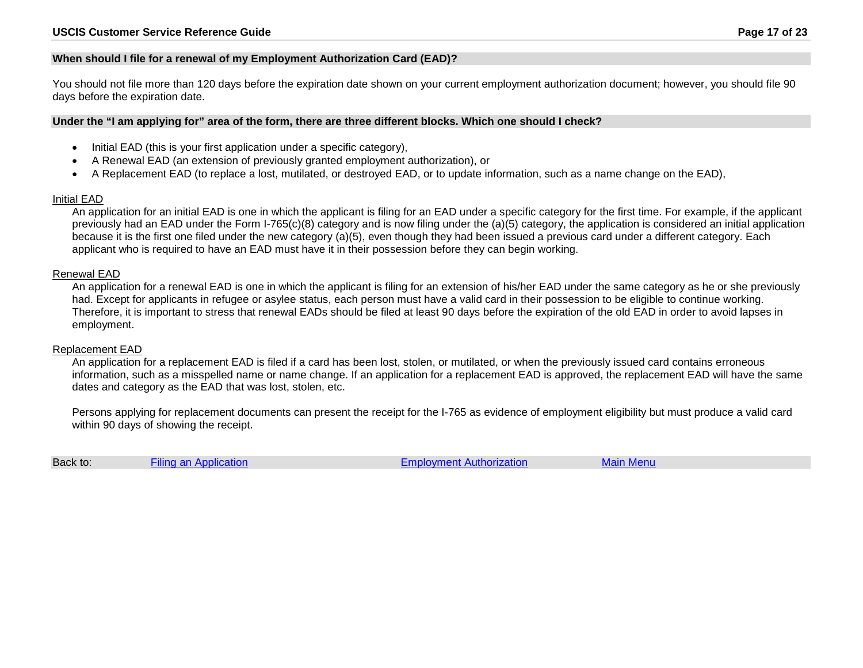#### <span id="page-16-0"></span>**When should I file for a renewal of my Employment Authorization Card (EAD)?**

You should not file more than 120 days before the expiration date shown on your current employment authorization document; however, you should file 90 days before the expiration date.

#### <span id="page-16-1"></span>**Under the "I am applying for" area of the form, there are three different blocks. Which one should I check?**

- Initial EAD (this is your first application under a specific category),
- A Renewal EAD (an extension of previously granted employment authorization), or
- A Replacement EAD (to replace a lost, mutilated, or destroyed EAD, or to update information, such as a name change on the EAD),

#### Initial EAD

An application for an initial EAD is one in which the applicant is filing for an EAD under a specific category for the first time. For example, if the applicant previously had an EAD under the Form I-765(c)(8) category and is now filing under the (a)(5) category, the application is considered an initial application because it is the first one filed under the new category (a)(5), even though they had been issued a previous card under a different category. Each applicant who is required to have an EAD must have it in their possession before they can begin working.

#### Renewal EAD

An application for a renewal EAD is one in which the applicant is filing for an extension of his/her EAD under the same category as he or she previously had. Except for applicants in refugee or asylee status, each person must have a valid card in their possession to be eligible to continue working. Therefore, it is important to stress that renewal EADs should be filed at least 90 days before the expiration of the old EAD in order to avoid lapses in employment.

#### Replacement EAD

An application for a replacement EAD is filed if a card has been lost, stolen, or mutilated, or when the previously issued card contains erroneous information, such as a misspelled name or name change. If an application for a replacement EAD is approved, the replacement EAD will have the same dates and category as the EAD that was lost, stolen, etc.

Persons applying for replacement documents can present the receipt for the I-765 as evidence of employment eligibility but must produce a valid card within 90 days of showing the receipt.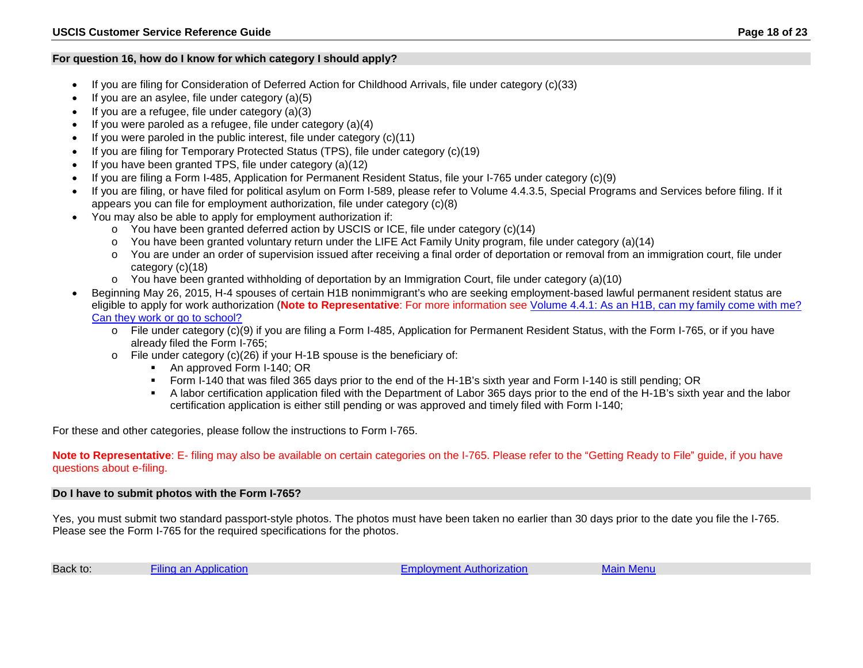#### <span id="page-17-0"></span>**For question 16, how do I know for which category I should apply?**

- If you are filing for Consideration of Deferred Action for Childhood Arrivals, file under category (c)(33)
- If you are an asylee, file under category  $(a)(5)$
- If you are a refugee, file under category  $(a)(3)$
- If you were paroled as a refugee, file under category (a)(4)
- If you were paroled in the public interest, file under category  $(c)(11)$
- If you are filing for Temporary Protected Status (TPS), file under category (c)(19)
- If you have been granted TPS, file under category (a)(12)
- If you are filing a Form I-485, Application for Permanent Resident Status, file your I-765 under category (c)(9)
- If you are filing, or have filed for political asylum on Form I-589, please refer to Volume 4.4.3.5, Special Programs and Services before filing. If it appears you can file for employment authorization, file under category (c)(8)
- You may also be able to apply for employment authorization if:
	- $\circ$  You have been granted deferred action by USCIS or ICE, file under category (c)(14)
	- o You have been granted voluntary return under the LIFE Act Family Unity program, file under category (a)(14)
	- o You are under an order of supervision issued after receiving a final order of deportation or removal from an immigration court, file under category (c)(18)
	- $\circ$  You have been granted withholding of deportation by an Immigration Court, file under category (a)(10)
- Beginning May 26, 2015, H-4 spouses of certain H1B nonimmigrant's who are seeking employment-based lawful permanent resident status are eligible to apply for work authorization (**Note to Representative**: For more information see [Volume 4.4.1: As an H1B, can my family come with me?](http://161.214.179.213/gateway/ivrscripts/volume4/volume4.4.1.pdf#page=68)  [Can they work or go to school?](http://161.214.179.213/gateway/ivrscripts/volume4/volume4.4.1.pdf#page=68)
	- o File under category (c)(9) if you are filing a Form I-485, Application for Permanent Resident Status, with the Form I-765, or if you have already filed the Form I-765;
	- o File under category (c)(26) if your H-1B spouse is the beneficiary of:
		- An approved Form I-140; OR
		- Form I-140 that was filed 365 days prior to the end of the H-1B's sixth year and Form I-140 is still pending; OR
		- A labor certification application filed with the Department of Labor 365 days prior to the end of the H-1B's sixth year and the labor certification application is either still pending or was approved and timely filed with Form I-140;

For these and other categories, please follow the instructions to Form I-765.

**Note to Representative**: E- filing may also be available on certain categories on the I-765. Please refer to the "Getting Ready to File" guide, if you have questions about e-filing.

#### <span id="page-17-1"></span>**Do I have to submit photos with the Form I-765?**

Yes, you must submit two standard passport-style photos. The photos must have been taken no earlier than 30 days prior to the date you file the I-765. Please see the Form I-765 for the required specifications for the photos.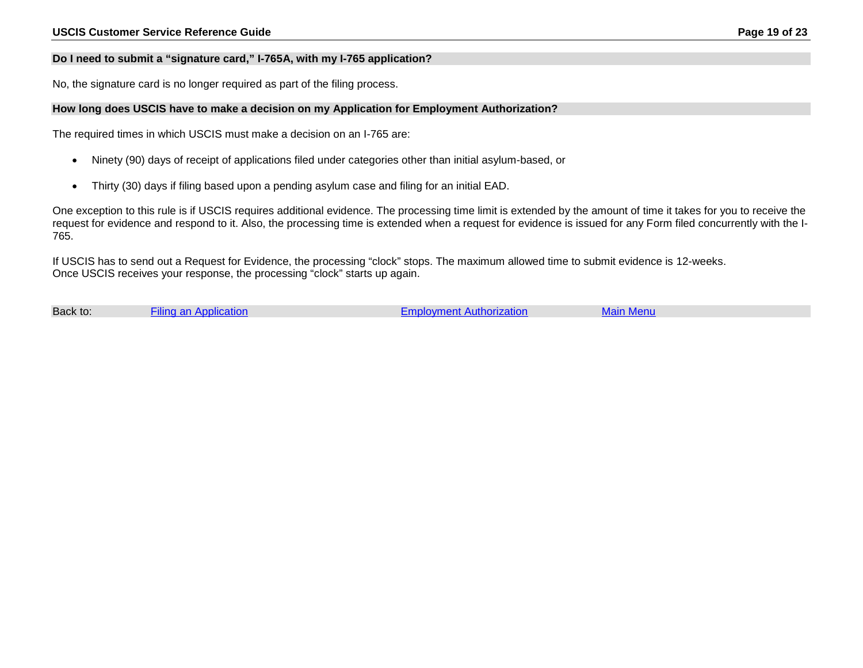#### <span id="page-18-0"></span>**Do I need to submit a "signature card," I-765A, with my I-765 application?**

No, the signature card is no longer required as part of the filing process.

#### <span id="page-18-1"></span>**How long does USCIS have to make a decision on my Application for Employment Authorization?**

The required times in which USCIS must make a decision on an I-765 are:

- Ninety (90) days of receipt of applications filed under categories other than initial asylum-based, or
- Thirty (30) days if filing based upon a pending asylum case and filing for an initial EAD.

One exception to this rule is if USCIS requires additional evidence. The processing time limit is extended by the amount of time it takes for you to receive the request for evidence and respond to it. Also, the processing time is extended when a request for evidence is issued for any Form filed concurrently with the I-765.

If USCIS has to send out a Request for Evidence, the processing "clock" stops. The maximum allowed time to submit evidence is 12-weeks. Once USCIS receives your response, the processing "clock" starts up again.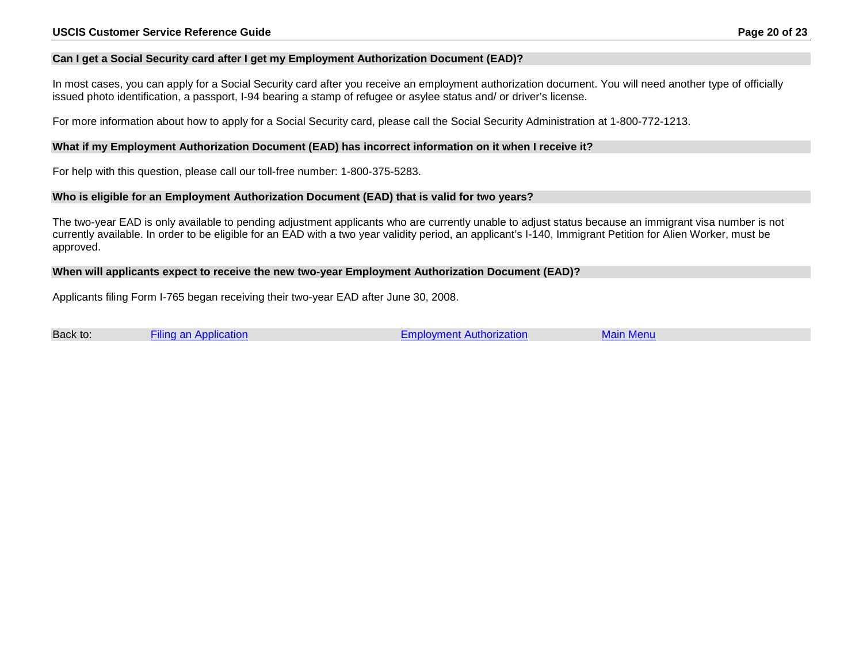#### <span id="page-19-0"></span>**Can I get a Social Security card after I get my Employment Authorization Document (EAD)?**

In most cases, you can apply for a Social Security card after you receive an employment authorization document. You will need another type of officially issued photo identification, a passport, I-94 bearing a stamp of refugee or asylee status and/ or driver's license.

For more information about how to apply for a Social Security card, please call the Social Security Administration at 1-800-772-1213.

#### <span id="page-19-1"></span>**What if my Employment Authorization Document (EAD) has incorrect information on it when I receive it?**

For help with this question, please call our toll-free number: 1-800-375-5283.

#### <span id="page-19-2"></span>**Who is eligible for an Employment Authorization Document (EAD) that is valid for two years?**

The two-year EAD is only available to pending adjustment applicants who are currently unable to adjust status because an immigrant visa number is not currently available. In order to be eligible for an EAD with a two year validity period, an applicant's I-140, Immigrant Petition for Alien Worker, must be approved.

#### <span id="page-19-3"></span>**When will applicants expect to receive the new two-year Employment Authorization Document (EAD)?**

Applicants filing Form I-765 began receiving their two-year EAD after June 30, 2008.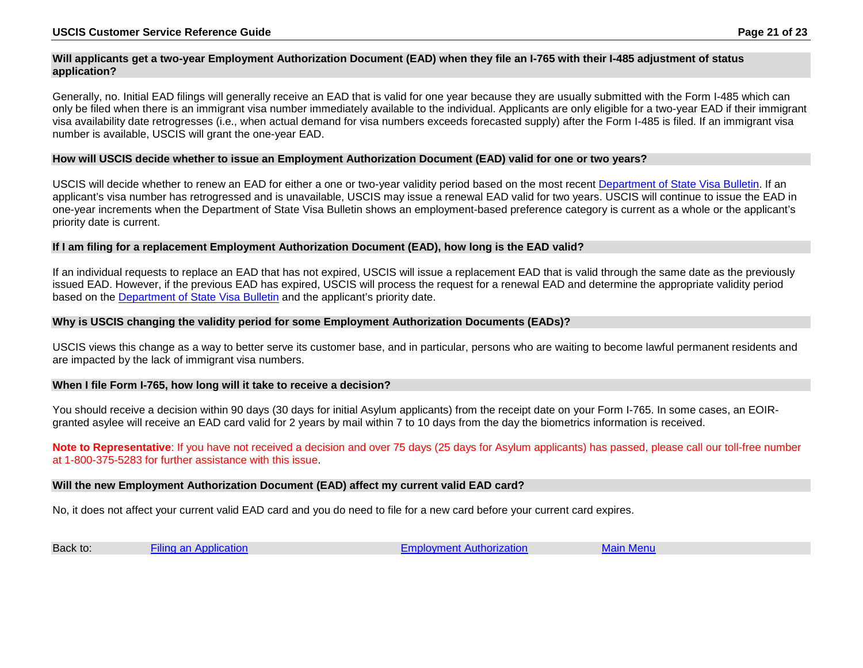#### <span id="page-20-0"></span>**Will applicants get a two-year Employment Authorization Document (EAD) when they file an I-765 with their I-485 adjustment of status application?**

Generally, no. Initial EAD filings will generally receive an EAD that is valid for one year because they are usually submitted with the Form I-485 which can only be filed when there is an immigrant visa number immediately available to the individual. Applicants are only eligible for a two-year EAD if their immigrant visa availability date retrogresses (i.e., when actual demand for visa numbers exceeds forecasted supply) after the Form I-485 is filed. If an immigrant visa number is available, USCIS will grant the one-year EAD.

#### <span id="page-20-1"></span>**How will USCIS decide whether to issue an Employment Authorization Document (EAD) valid for one or two years?**

USCIS will decide whether to renew an EAD for either a one or two-year validity period based on the most recent [Department of State Visa Bulletin.](http://travel.state.gov/content/visas/english/law-and-policy/bulletin.html) If an applicant's visa number has retrogressed and is unavailable, USCIS may issue a renewal EAD valid for two years. USCIS will continue to issue the EAD in one-year increments when the Department of State Visa Bulletin shows an employment-based preference category is current as a whole or the applicant's priority date is current.

#### <span id="page-20-2"></span>**If I am filing for a replacement Employment Authorization Document (EAD), how long is the EAD valid?**

If an individual requests to replace an EAD that has not expired, USCIS will issue a replacement EAD that is valid through the same date as the previously issued EAD. However, if the previous EAD has expired, USCIS will process the request for a renewal EAD and determine the appropriate validity period based on the [Department of State Visa Bulletin](http://travel.state.gov/content/visas/english/law-and-policy/bulletin.html) and the applicant's priority date.

#### <span id="page-20-3"></span>**Why is USCIS changing the validity period for some Employment Authorization Documents (EADs)?**

USCIS views this change as a way to better serve its customer base, and in particular, persons who are waiting to become lawful permanent residents and are impacted by the lack of immigrant visa numbers.

#### <span id="page-20-4"></span>**When I file Form I-765, how long will it take to receive a decision?**

You should receive a decision within 90 days (30 days for initial Asylum applicants) from the receipt date on your Form I-765. In some cases, an EOIRgranted asylee will receive an EAD card valid for 2 years by mail within 7 to 10 days from the day the biometrics information is received.

**Note to Representative**: If you have not received a decision and over 75 days (25 days for Asylum applicants) has passed, please call our toll-free number at 1-800-375-5283 for further assistance with this issue.

#### <span id="page-20-5"></span>**Will the new Employment Authorization Document (EAD) affect my current valid EAD card?**

No, it does not affect your current valid EAD card and you do need to file for a new card before your current card expires.